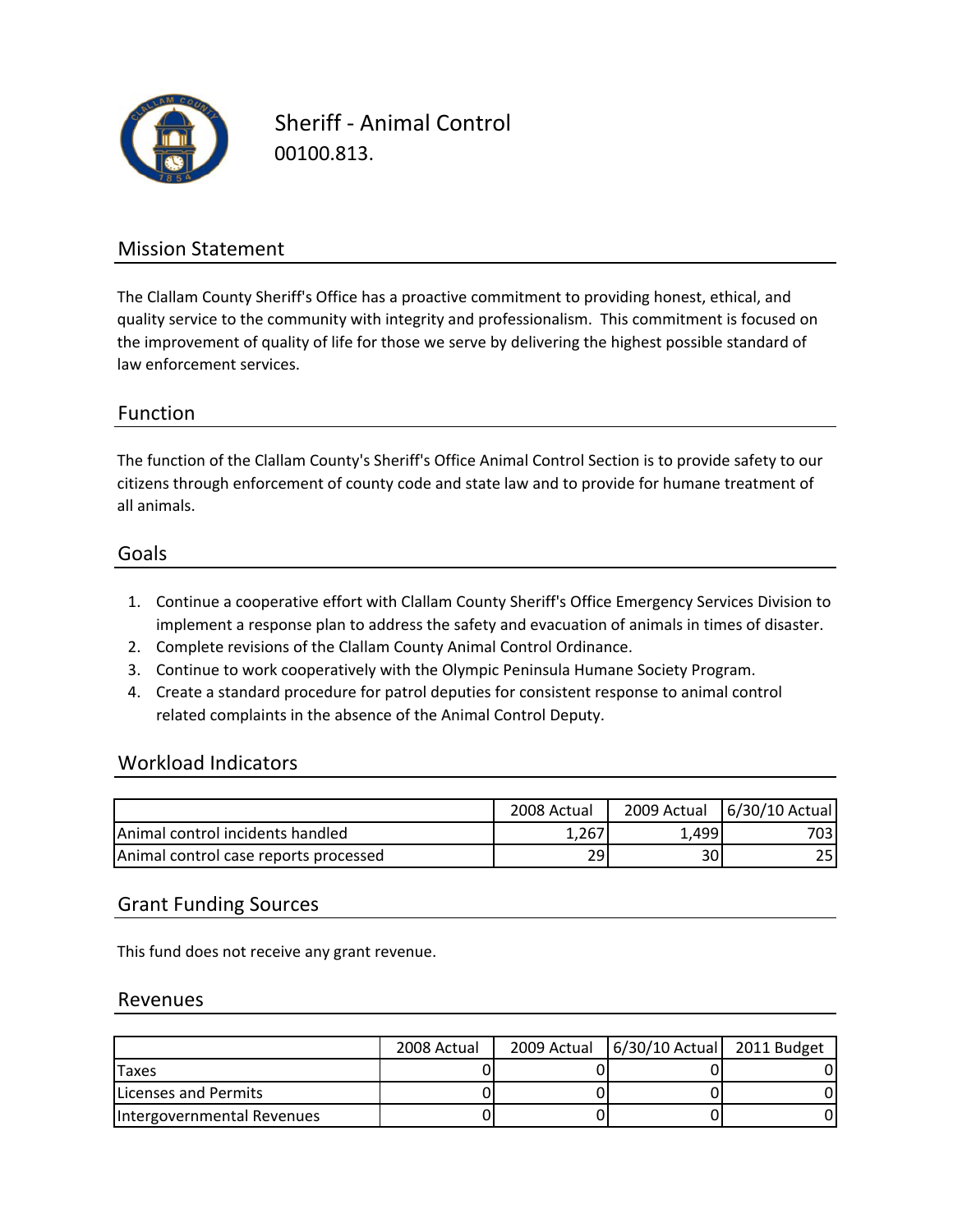

Sheriff ‐ Animal Control 00100.813.

### Mission Statement

The Clallam County Sheriff's Office has a proactive commitment to providing honest, ethical, and quality service to the community with integrity and professionalism. This commitment is focused on the improvement of quality of life for those we serve by delivering the highest possible standard of law enforcement services.

#### Function

all animals. citizens through enforcement of county code and state law and to provide for humane treatment of The function of the Clallam County's Sheriff's Office Animal Control Section is to provide safety to our

#### Goals

- 1. Continue a cooperative effort with Clallam County Sheriff's Office Emergency Services Division to implement a response plan to address the safety and evacuation of animals in times of disaster.
- 2. Complete revisions of the Clallam County Animal Control Ordinance.
- 3. Continue to work cooperatively with the Olympic Peninsula Humane Society Program.
- 4. Create a standard procedure for patrol deputies for consistent response to animal control related complaints in the absence of the Animal Control Deputy.

#### Workload Indicators

|                                          | 2008 Actual | 2009 Actual | 6/30/10 Actual |
|------------------------------------------|-------------|-------------|----------------|
| <b>IAnimal control incidents handled</b> | 1,267       | 1.499       | 7031           |
| Animal control case reports processed    | 29          | 30          | 25             |

#### Grant Funding Sources

This fund does not receive any grant revenue.

#### Revenues

|                            | 2008 Actual | 2009 Actual | 6/30/10 Actual 2011 Budget |  |
|----------------------------|-------------|-------------|----------------------------|--|
| Taxes                      |             |             |                            |  |
| Licenses and Permits       |             |             |                            |  |
| Intergovernmental Revenues |             |             |                            |  |